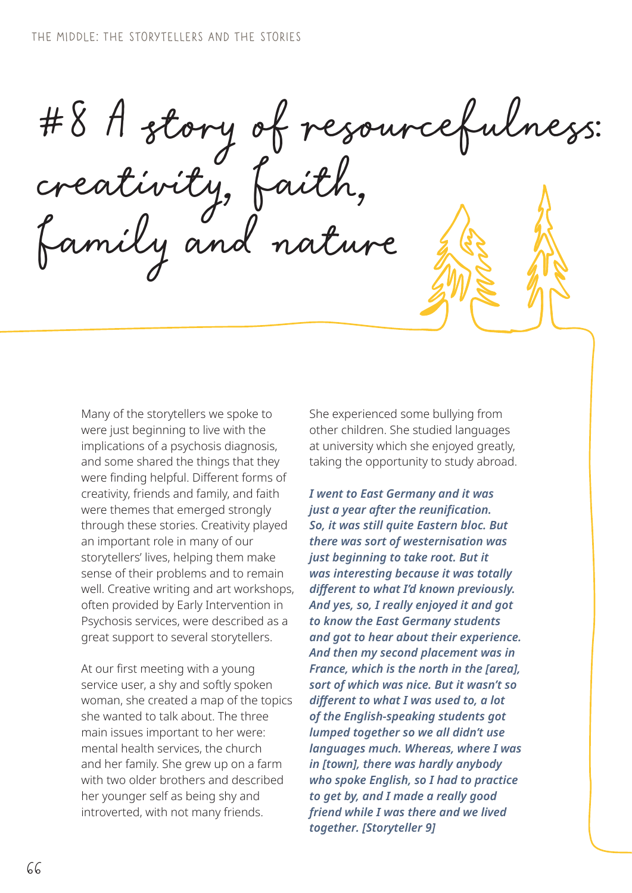#8 A story of resourcefulness: creativity, faith, family and nature

Many of the storytellers we spoke to were just beginning to live with the implications of a psychosis diagnosis, and some shared the things that they were finding helpful. Different forms of creativity, friends and family, and faith were themes that emerged strongly through these stories. Creativity played an important role in many of our storytellers' lives, helping them make sense of their problems and to remain well. Creative writing and art workshops, often provided by Early Intervention in Psychosis services, were described as a great support to several storytellers.

At our first meeting with a young service user, a shy and softly spoken woman, she created a map of the topics she wanted to talk about. The three main issues important to her were: mental health services, the church and her family. She grew up on a farm with two older brothers and described her younger self as being shy and introverted, with not many friends.

She experienced some bullying from other children. She studied languages at university which she enjoyed greatly, taking the opportunity to study abroad.

*I went to East Germany and it was just a year after the reunification. So, it was still quite Eastern bloc. But there was sort of westernisation was just beginning to take root. But it was interesting because it was totally different to what I'd known previously. And yes, so, I really enjoyed it and got to know the East Germany students and got to hear about their experience. And then my second placement was in France, which is the north in the [area], sort of which was nice. But it wasn't so different to what I was used to, a lot of the English-speaking students got lumped together so we all didn't use languages much. Whereas, where I was in [town], there was hardly anybody who spoke English, so I had to practice to get by, and I made a really good friend while I was there and we lived together. [Storyteller 9]*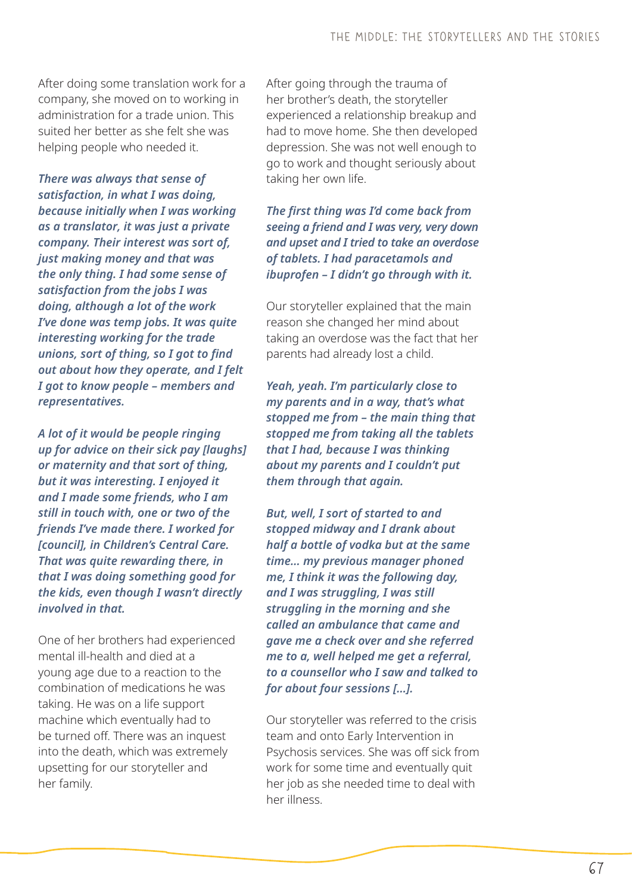After doing some translation work for a company, she moved on to working in administration for a trade union. This suited her better as she felt she was helping people who needed it.

*There was always that sense of satisfaction, in what I was doing, because initially when I was working as a translator, it was just a private company. Their interest was sort of, just making money and that was the only thing. I had some sense of satisfaction from the jobs I was doing, although a lot of the work I've done was temp jobs. It was quite interesting working for the trade unions, sort of thing, so I got to find out about how they operate, and I felt I got to know people – members and representatives.* 

*A lot of it would be people ringing up for advice on their sick pay [laughs] or maternity and that sort of thing, but it was interesting. I enjoyed it and I made some friends, who I am still in touch with, one or two of the friends I've made there. I worked for [council], in Children's Central Care. That was quite rewarding there, in that I was doing something good for the kids, even though I wasn't directly involved in that.*

One of her brothers had experienced mental ill-health and died at a young age due to a reaction to the combination of medications he was taking. He was on a life support machine which eventually had to be turned off. There was an inquest into the death, which was extremely upsetting for our storyteller and her family.

After going through the trauma of her brother's death, the storyteller experienced a relationship breakup and had to move home. She then developed depression. She was not well enough to go to work and thought seriously about taking her own life.

*The first thing was I'd come back from seeing a friend and I was very, very down and upset and I tried to take an overdose of tablets. I had paracetamols and ibuprofen – I didn't go through with it.*

Our storyteller explained that the main reason she changed her mind about taking an overdose was the fact that her parents had already lost a child.

*Yeah, yeah. I'm particularly close to my parents and in a way, that's what stopped me from – the main thing that stopped me from taking all the tablets that I had, because I was thinking about my parents and I couldn't put them through that again.*

*But, well, I sort of started to and stopped midway and I drank about half a bottle of vodka but at the same time… my previous manager phoned me, I think it was the following day, and I was struggling, I was still struggling in the morning and she called an ambulance that came and gave me a check over and she referred me to a, well helped me get a referral, to a counsellor who I saw and talked to for about four sessions […].*

Our storyteller was referred to the crisis team and onto Early Intervention in Psychosis services. She was off sick from work for some time and eventually quit her job as she needed time to deal with her illness.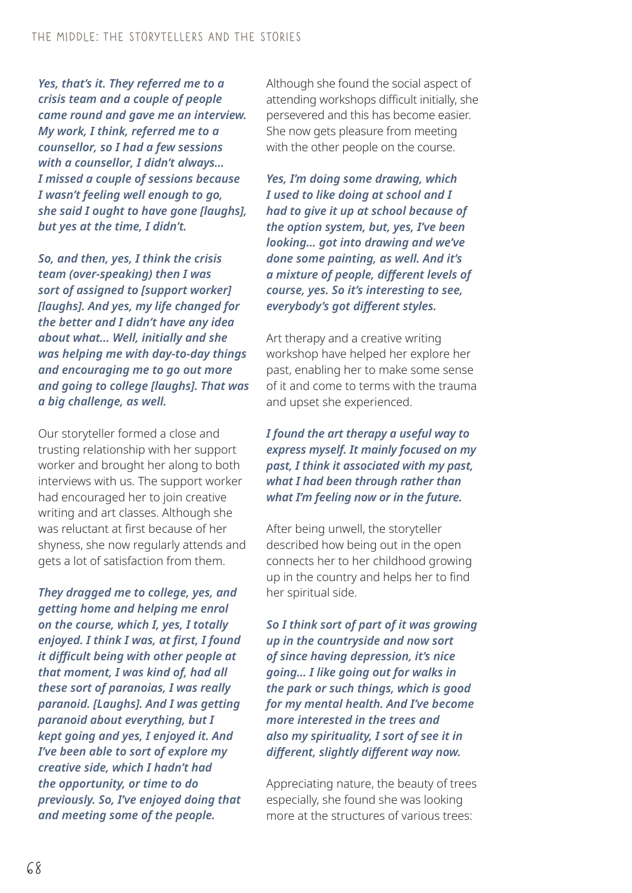*Yes, that's it. They referred me to a crisis team and a couple of people came round and gave me an interview. My work, I think, referred me to a counsellor, so I had a few sessions with a counsellor, I didn't always… I missed a couple of sessions because I wasn't feeling well enough to go, she said I ought to have gone [laughs], but yes at the time, I didn't.* 

*So, and then, yes, I think the crisis team (over-speaking) then I was sort of assigned to [support worker] [laughs]. And yes, my life changed for the better and I didn't have any idea about what… Well, initially and she was helping me with day-to-day things and encouraging me to go out more and going to college [laughs]. That was a big challenge, as well.*

Our storyteller formed a close and trusting relationship with her support worker and brought her along to both interviews with us. The support worker had encouraged her to join creative writing and art classes. Although she was reluctant at first because of her shyness, she now regularly attends and gets a lot of satisfaction from them.

*They dragged me to college, yes, and getting home and helping me enrol on the course, which I, yes, I totally enjoyed. I think I was, at first, I found it difficult being with other people at that moment, I was kind of, had all these sort of paranoias, I was really paranoid. [Laughs]. And I was getting paranoid about everything, but I kept going and yes, I enjoyed it. And I've been able to sort of explore my creative side, which I hadn't had the opportunity, or time to do previously. So, I've enjoyed doing that and meeting some of the people.*

Although she found the social aspect of attending workshops difficult initially, she persevered and this has become easier. She now gets pleasure from meeting with the other people on the course.

*Yes, I'm doing some drawing, which I used to like doing at school and I had to give it up at school because of the option system, but, yes, I've been looking… got into drawing and we've done some painting, as well. And it's a mixture of people, different levels of course, yes. So it's interesting to see, everybody's got different styles.*

Art therapy and a creative writing workshop have helped her explore her past, enabling her to make some sense of it and come to terms with the trauma and upset she experienced.

*I found the art therapy a useful way to express myself. It mainly focused on my past, I think it associated with my past, what I had been through rather than what I'm feeling now or in the future.*

After being unwell, the storyteller described how being out in the open connects her to her childhood growing up in the country and helps her to find her spiritual side.

*So I think sort of part of it was growing up in the countryside and now sort of since having depression, it's nice going… I like going out for walks in the park or such things, which is good for my mental health. And I've become more interested in the trees and also my spirituality, I sort of see it in different, slightly different way now.*

Appreciating nature, the beauty of trees especially, she found she was looking more at the structures of various trees: